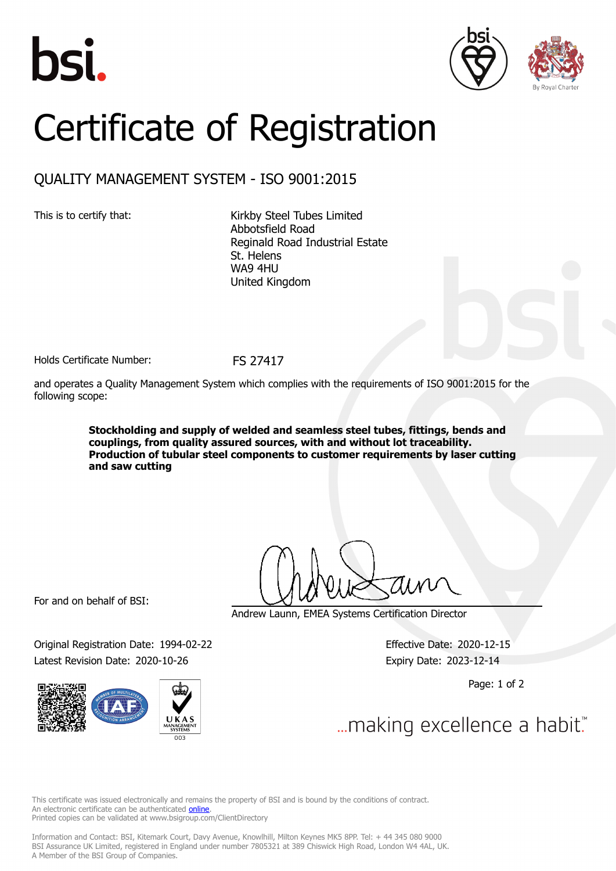





## Certificate of Registration

## QUALITY MANAGEMENT SYSTEM - ISO 9001:2015

This is to certify that: Kirkby Steel Tubes Limited Abbotsfield Road Reginald Road Industrial Estate St. Helens WA9 4HU United Kingdom

Holds Certificate Number: FS 27417

and operates a Quality Management System which complies with the requirements of ISO 9001:2015 for the following scope:

> **Stockholding and supply of welded and seamless steel tubes, fittings, bends and couplings, from quality assured sources, with and without lot traceability. Production of tubular steel components to customer requirements by laser cutting and saw cutting**

For and on behalf of BSI:

Original Registration Date: 1994-02-22 Effective Date: 2020-12-15 Latest Revision Date: 2020-10-26 Expiry Date: 2023-12-14



Andrew Launn, EMEA Systems Certification Director

Page: 1 of 2

... making excellence a habit."

This certificate was issued electronically and remains the property of BSI and is bound by the conditions of contract. An electronic certificate can be authenticated **[online](https://pgplus.bsigroup.com/CertificateValidation/CertificateValidator.aspx?CertificateNumber=FS+27417&ReIssueDate=26%2f10%2f2020&Template=uk)**. Printed copies can be validated at www.bsigroup.com/ClientDirectory

Information and Contact: BSI, Kitemark Court, Davy Avenue, Knowlhill, Milton Keynes MK5 8PP. Tel: + 44 345 080 9000 BSI Assurance UK Limited, registered in England under number 7805321 at 389 Chiswick High Road, London W4 4AL, UK. A Member of the BSI Group of Companies.